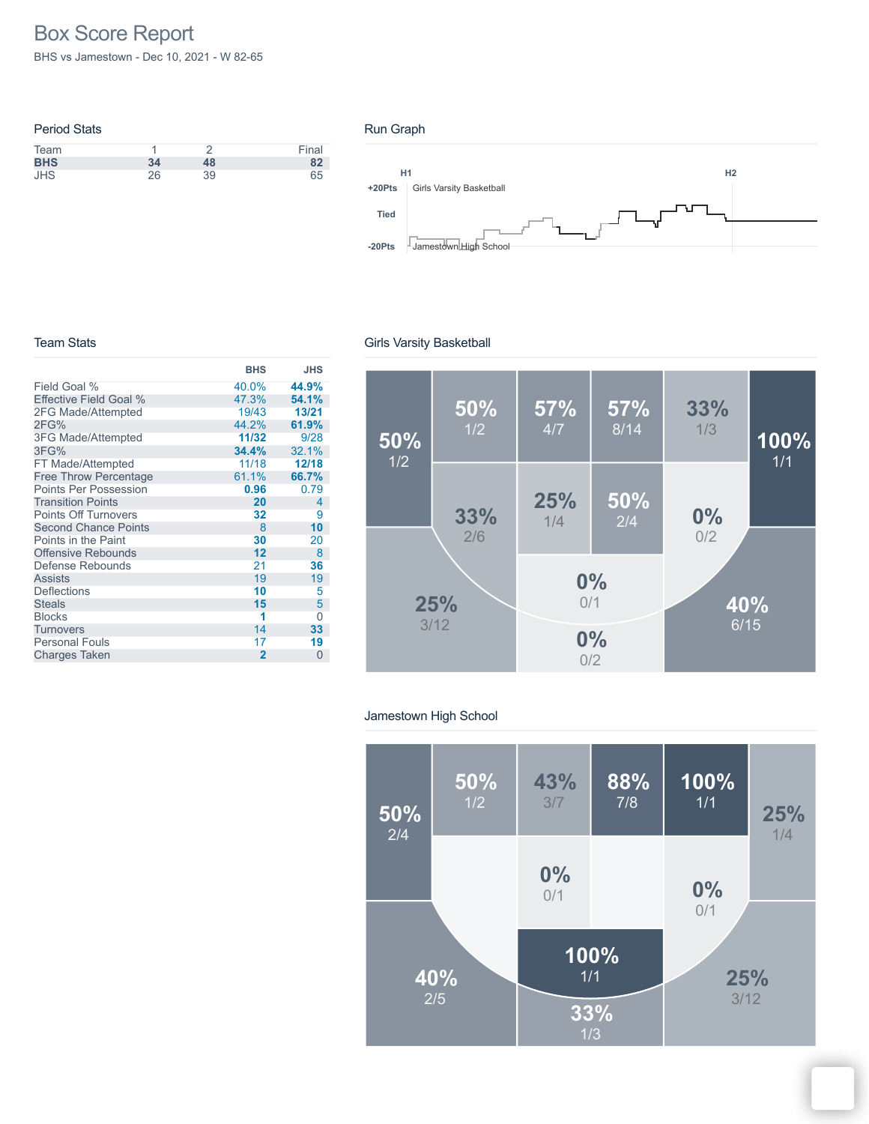# Box Score Report

BHS vs Jamestown - Dec 10, 2021 - W 82-65

| <b>Period Stats</b> |    |    |       |
|---------------------|----|----|-------|
| Team                |    |    | Final |
| <b>BHS</b>          | 34 | 48 | 82    |
| <b>JHS</b>          | 26 | 39 | 65    |

#### Run Graph



#### Team Stats

|                               | <b>BHS</b>     | <b>JHS</b> |
|-------------------------------|----------------|------------|
| Field Goal %                  | 40.0%          | 44.9%      |
| <b>Effective Field Goal %</b> | 47.3%          | 54.1%      |
| 2FG Made/Attempted            | 19/43          | 13/21      |
| 2FG%                          | 44.2%          | 61.9%      |
| <b>3FG Made/Attempted</b>     | 11/32          | 9/28       |
| 3FG%                          | 34.4%          | 32.1%      |
| FT Made/Attempted             | 11/18          | 12/18      |
| <b>Free Throw Percentage</b>  | 61.1%          | 66.7%      |
| <b>Points Per Possession</b>  | 0.96           | 0.79       |
| <b>Transition Points</b>      | 20             | 4          |
| <b>Points Off Turnovers</b>   | 32             | 9          |
| <b>Second Chance Points</b>   | 8              | 10         |
| Points in the Paint           | 30             | 20         |
| <b>Offensive Rebounds</b>     | 12             | 8          |
| Defense Rebounds              | 21             | 36         |
| <b>Assists</b>                | 19             | 19         |
| <b>Deflections</b>            | 10             | 5          |
| <b>Steals</b>                 | 15             | 5          |
| <b>Blocks</b>                 | 1              | Ω          |
| <b>Turnovers</b>              | 14             | 33         |
| <b>Personal Fouls</b>         | 17             | 19         |
| <b>Charges Taken</b>          | $\overline{2}$ | 0          |

## Girls Varsity Basketball



## Jamestown High School